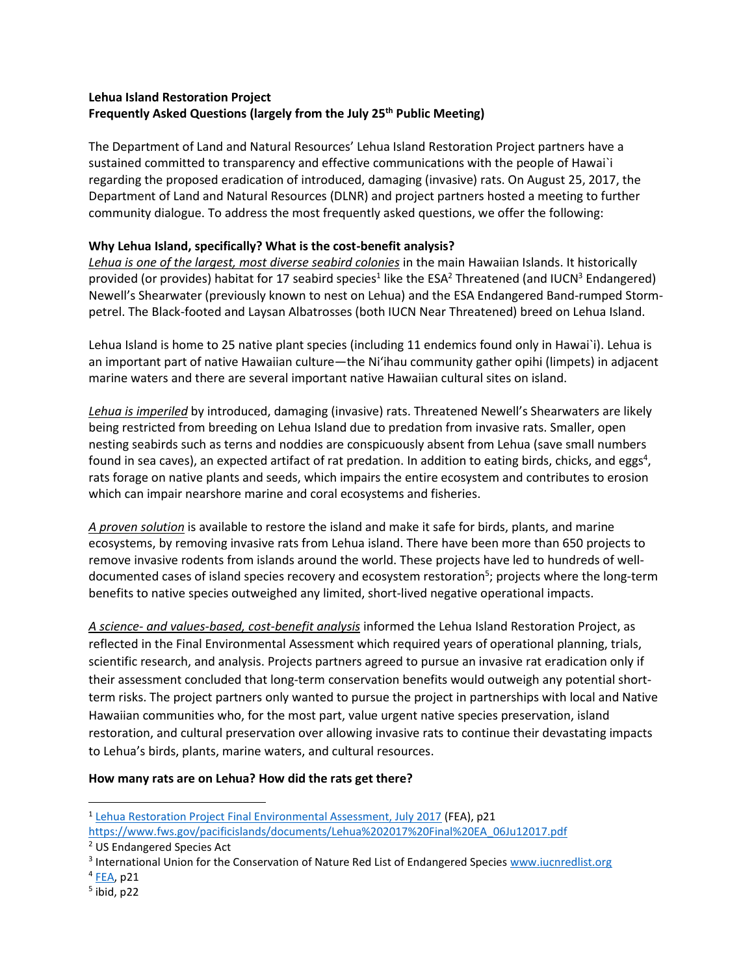# **Lehua Island Restoration Project Frequently Asked Questions (largely from the July 25th Public Meeting)**

The Department of Land and Natural Resources' Lehua Island Restoration Project partners have a sustained committed to transparency and effective communications with the people of Hawai`i regarding the proposed eradication of introduced, damaging (invasive) rats. On August 25, 2017, the Department of Land and Natural Resources (DLNR) and project partners hosted a meeting to further community dialogue. To address the most frequently asked questions, we offer the following:

# **Why Lehua Island, specifically? What is the cost-benefit analysis?**

*Lehua is one of the largest, most diverse seabird colonies* in the main Hawaiian Islands. It historically provided (or provides) habitat for 17 seabird species<sup>1</sup> like the ESA<sup>2</sup> Threatened (and IUCN<sup>3</sup> Endangered) Newell's Shearwater (previously known to nest on Lehua) and the ESA Endangered Band-rumped Stormpetrel. The Black-footed and Laysan Albatrosses (both IUCN Near Threatened) breed on Lehua Island.

Lehua Island is home to 25 native plant species (including 11 endemics found only in Hawai`i). Lehua is an important part of native Hawaiian culture—the Niʻihau community gather opihi (limpets) in adjacent marine waters and there are several important native Hawaiian cultural sites on island.

*Lehua is imperiled* by introduced, damaging (invasive) rats. Threatened Newell's Shearwaters are likely being restricted from breeding on Lehua Island due to predation from invasive rats. Smaller, open nesting seabirds such as terns and noddies are conspicuously absent from Lehua (save small numbers found in sea caves), an expected artifact of rat predation. In addition to eating birds, chicks, and eggs<sup>4</sup>, rats forage on native plants and seeds, which impairs the entire ecosystem and contributes to erosion which can impair nearshore marine and coral ecosystems and fisheries.

*A proven solution* is available to restore the island and make it safe for birds, plants, and marine ecosystems, by removing invasive rats from Lehua island. There have been more than 650 projects to remove invasive rodents from islands around the world. These projects have led to hundreds of welldocumented cases of island species recovery and ecosystem restoration<sup>5</sup>; projects where the long-term benefits to native species outweighed any limited, short-lived negative operational impacts.

*A science- and values-based, cost-benefit analysis* informed the Lehua Island Restoration Project, as reflected in the Final Environmental Assessment which required years of operational planning, trials, scientific research, and analysis. Projects partners agreed to pursue an invasive rat eradication only if their assessment concluded that long-term conservation benefits would outweigh any potential shortterm risks. The project partners only wanted to pursue the project in partnerships with local and Native Hawaiian communities who, for the most part, value urgent native species preservation, island restoration, and cultural preservation over allowing invasive rats to continue their devastating impacts to Lehua's birds, plants, marine waters, and cultural resources.

### **How many rats are on Lehua? How did the rats get there?**

 $\overline{\phantom{a}}$ 

<sup>&</sup>lt;sup>1</sup> [Lehua Restoration Project Final Environmental Assessment, July 2017](https://www.fws.gov/pacificislands/documents/Lehua%202017%20Final%20EA_06Ju12017.pdf) (FEA), p21

[https://www.fws.gov/pacificislands/documents/Lehua%202017%20Final%20EA\\_06Ju12017.pdf](https://www.fws.gov/pacificislands/documents/Lehua%202017%20Final%20EA_06Ju12017.pdf)

<sup>2</sup> US Endangered Species Act

<sup>&</sup>lt;sup>3</sup> International Union for the Conservation of Nature Red List of Endangered Species [www.iucnredlist.org](http://www.iucnredlist.org/)

<sup>&</sup>lt;sup>4</sup> [FEA,](https://www.fws.gov/pacificislands/documents/Lehua%202017%20Final%20EA_06Ju12017.pdf) p21

<sup>5</sup> ibid, p22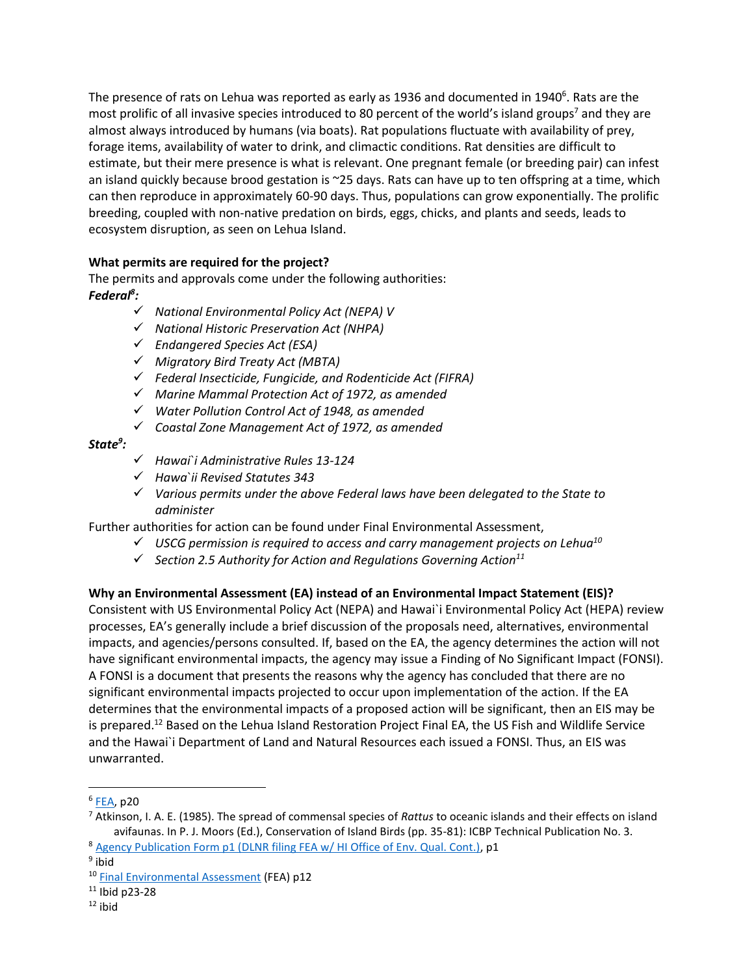The presence of rats on Lehua was reported as early as 1936 and documented in 1940<sup>6</sup>. Rats are the most prolific of all invasive species introduced to 80 percent of the world's island groups<sup>7</sup> and they are almost always introduced by humans (via boats). Rat populations fluctuate with availability of prey, forage items, availability of water to drink, and climactic conditions. Rat densities are difficult to estimate, but their mere presence is what is relevant. One pregnant female (or breeding pair) can infest an island quickly because brood gestation is ~25 days. Rats can have up to ten offspring at a time, which can then reproduce in approximately 60-90 days. Thus, populations can grow exponentially. The prolific breeding, coupled with non-native predation on birds, eggs, chicks, and plants and seeds, leads to ecosystem disruption, as seen on Lehua Island.

# **What permits are required for the project?**

The permits and approvals come under the following authorities: *Federal<sup>8</sup> :*

- ✓ *National Environmental Policy Act (NEPA) V*
- ✓ *National Historic Preservation Act (NHPA)*
- ✓ *Endangered Species Act (ESA)*
- ✓ *Migratory Bird Treaty Act (MBTA)*
- ✓ *Federal Insecticide, Fungicide, and Rodenticide Act (FIFRA)*
- ✓ *Marine Mammal Protection Act of 1972, as amended*
- ✓ *Water Pollution Control Act of 1948, as amended*
- ✓ *Coastal Zone Management Act of 1972, as amended*

# *State<sup>9</sup> :*

- ✓ *Hawai*`*i Administrative Rules 13-124*
- ✓ *Hawa*`*ii Revised Statutes 343*
- ✓ *Various permits under the above Federal laws have been delegated to the State to administer*

Further authorities for action can be found under Final Environmental Assessment,

- $\checkmark$  *USCG permission is required to access and carry management projects on Lehua*<sup>10</sup>
- ✓ *Section 2.5 Authority for Action and Regulations Governing Action<sup>11</sup>*

# **Why an Environmental Assessment (EA) instead of an Environmental Impact Statement (EIS)?**

Consistent with US Environmental Policy Act (NEPA) and Hawai`i Environmental Policy Act (HEPA) review processes, EA's generally include a brief discussion of the proposals need, alternatives, environmental impacts, and agencies/persons consulted. If, based on the EA, the agency determines the action will not have significant environmental impacts, the agency may issue a Finding of No Significant Impact (FONSI). A FONSI is a document that presents the reasons why the agency has concluded that there are no significant environmental impacts projected to occur upon implementation of the action. If the EA determines that the environmental impacts of a proposed action will be significant, then an EIS may be is prepared.<sup>12</sup> Based on the Lehua Island Restoration Project Final EA, the US Fish and Wildlife Service and the Hawai`i Department of Land and Natural Resources each issued a FONSI. Thus, an EIS was unwarranted.

l

<sup>&</sup>lt;sup>6</sup> <u>FEA</u>, p20

<sup>7</sup> Atkinson, I. A. E. (1985). The spread of commensal species of *Rattus* to oceanic islands and their effects on island avifaunas. In P. J. Moors (Ed.), Conservation of Island Birds (pp. 35-81): ICBP Technical Publication No. 3.

<sup>8</sup> [Agency Publication Form p1 \(DLNR filing FEA w/ HI Office of Env. Qual. Cont.\),](http://oeqc2.doh.hawaii.gov/EA_EIS_Library/2017-07-23-KA-FEA-Lehua-Ecosystem-Restoration.pdf) p1

<sup>&</sup>lt;sup>9</sup> ibid

<sup>10</sup> [Final Environmental Assessment](https://www.fws.gov/pacificislands/documents/Lehua%202017%20Final%20EA_06Ju12017.pdf) (FEA) p12

 $11$  Ibid p23-28

 $12$  ibid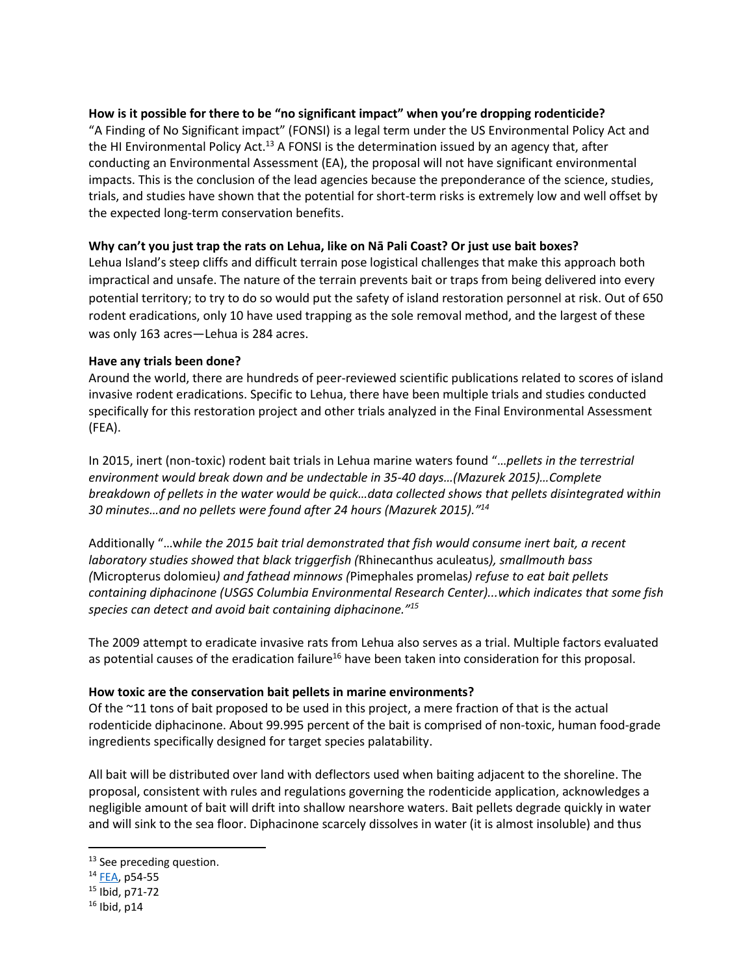# **How is it possible for there to be "no significant impact" when you're dropping rodenticide?**

"A Finding of No Significant impact" (FONSI) is a legal term under the US Environmental Policy Act and the HI Environmental Policy Act.<sup>13</sup> A FONSI is the determination issued by an agency that, after conducting an Environmental Assessment (EA), the proposal will not have significant environmental impacts. This is the conclusion of the lead agencies because the preponderance of the science, studies, trials, and studies have shown that the potential for short-term risks is extremely low and well offset by the expected long-term conservation benefits.

# **Why can't you just trap the rats on Lehua, like on Nā Pali Coast? Or just use bait boxes?**

Lehua Island's steep cliffs and difficult terrain pose logistical challenges that make this approach both impractical and unsafe. The nature of the terrain prevents bait or traps from being delivered into every potential territory; to try to do so would put the safety of island restoration personnel at risk. Out of 650 rodent eradications, only 10 have used trapping as the sole removal method, and the largest of these was only 163 acres—Lehua is 284 acres.

# **Have any trials been done?**

Around the world, there are hundreds of peer-reviewed scientific publications related to scores of island invasive rodent eradications. Specific to Lehua, there have been multiple trials and studies conducted specifically for this restoration project and other trials analyzed in the Final Environmental Assessment (FEA).

In 2015, inert (non-toxic) rodent bait trials in Lehua marine waters found "…*pellets in the terrestrial environment would break down and be undectable in 35-40 days…(Mazurek 2015)…Complete breakdown of pellets in the water would be quick…data collected shows that pellets disintegrated within 30 minutes…and no pellets were found after 24 hours (Mazurek 2015)." 14*

Additionally "…w*hile the 2015 bait trial demonstrated that fish would consume inert bait, a recent laboratory studies showed that black triggerfish (*Rhinecanthus aculeatus*), smallmouth bass (*Micropterus dolomieu*) and fathead minnows (*Pimephales promelas*) refuse to eat bait pellets containing diphacinone (USGS Columbia Environmental Research Center)...which indicates that some fish species can detect and avoid bait containing diphacinone." 15*

The 2009 attempt to eradicate invasive rats from Lehua also serves as a trial. Multiple factors evaluated as potential causes of the eradication failure<sup>16</sup> have been taken into consideration for this proposal.

### **How toxic are the conservation bait pellets in marine environments?**

Of the ~11 tons of bait proposed to be used in this project, a mere fraction of that is the actual rodenticide diphacinone. About 99.995 percent of the bait is comprised of non-toxic, human food-grade ingredients specifically designed for target species palatability.

All bait will be distributed over land with deflectors used when baiting adjacent to the shoreline. The proposal, consistent with rules and regulations governing the rodenticide application, acknowledges a negligible amount of bait will drift into shallow nearshore waters. Bait pellets degrade quickly in water and will sink to the sea floor. Diphacinone scarcely dissolves in water (it is almost insoluble) and thus

 $\overline{\phantom{a}}$ 

<sup>&</sup>lt;sup>13</sup> See preceding question.

<sup>14</sup> [FEA,](https://www.fws.gov/pacificislands/documents/Lehua%202017%20Final%20EA_06Ju12017.pdf) p54-55

<sup>15</sup> Ibid, p71-72

 $16$  Ibid, p14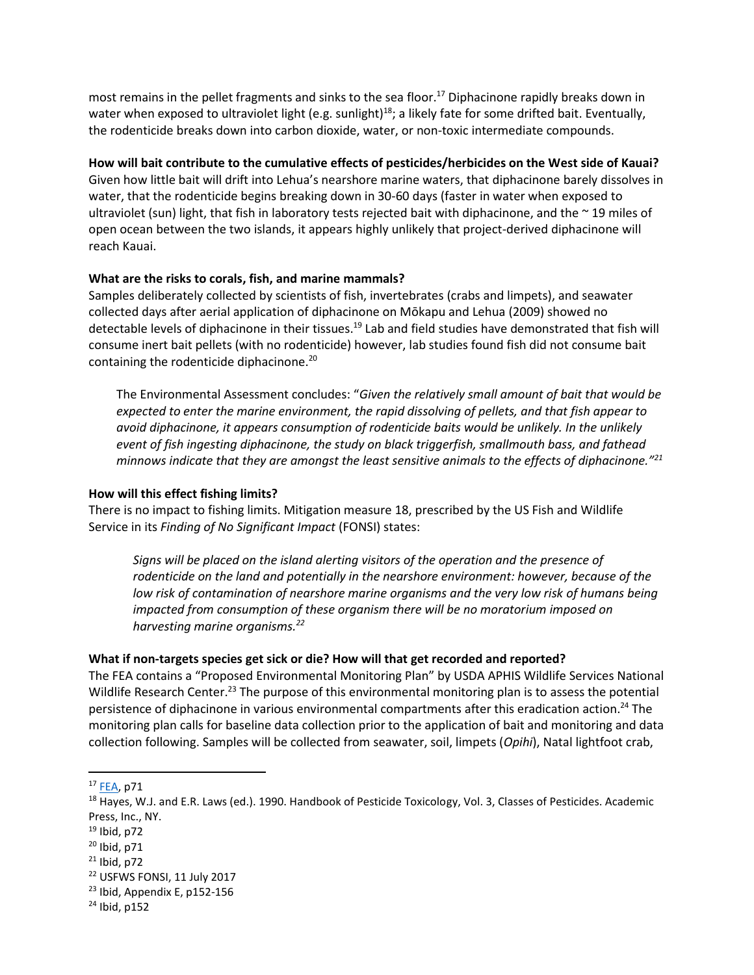most remains in the pellet fragments and sinks to the sea floor.<sup>17</sup> Diphacinone rapidly breaks down in water when exposed to ultraviolet light (e.g. sunlight)<sup>18</sup>; a likely fate for some drifted bait. Eventually, the rodenticide breaks down into carbon dioxide, water, or non-toxic intermediate compounds.

#### **How will bait contribute to the cumulative effects of pesticides/herbicides on the West side of Kauai?**

Given how little bait will drift into Lehua's nearshore marine waters, that diphacinone barely dissolves in water, that the rodenticide begins breaking down in 30-60 days (faster in water when exposed to ultraviolet (sun) light, that fish in laboratory tests rejected bait with diphacinone, and the ~ 19 miles of open ocean between the two islands, it appears highly unlikely that project-derived diphacinone will reach Kauai.

#### **What are the risks to corals, fish, and marine mammals?**

Samples deliberately collected by scientists of fish, invertebrates (crabs and limpets), and seawater collected days after aerial application of diphacinone on Mōkapu and Lehua (2009) showed no detectable levels of diphacinone in their tissues.<sup>19</sup> Lab and field studies have demonstrated that fish will consume inert bait pellets (with no rodenticide) however, lab studies found fish did not consume bait containing the rodenticide diphacinone.<sup>20</sup>

The Environmental Assessment concludes: "*Given the relatively small amount of bait that would be expected to enter the marine environment, the rapid dissolving of pellets, and that fish appear to avoid diphacinone, it appears consumption of rodenticide baits would be unlikely. In the unlikely event of fish ingesting diphacinone, the study on black triggerfish, smallmouth bass, and fathead minnows indicate that they are amongst the least sensitive animals to the effects of diphacinone." 21*

#### **How will this effect fishing limits?**

There is no impact to fishing limits. Mitigation measure 18, prescribed by the US Fish and Wildlife Service in its *Finding of No Significant Impact* (FONSI) states:

*Signs will be placed on the island alerting visitors of the operation and the presence of rodenticide on the land and potentially in the nearshore environment: however, because of the*  low risk of contamination of nearshore marine organisms and the very low risk of humans being *impacted from consumption of these organism there will be no moratorium imposed on harvesting marine organisms.<sup>22</sup>*

#### **What if non-targets species get sick or die? How will that get recorded and reported?**

The FEA contains a "Proposed Environmental Monitoring Plan" by USDA APHIS Wildlife Services National Wildlife Research Center.<sup>23</sup> The purpose of this environmental monitoring plan is to assess the potential persistence of diphacinone in various environmental compartments after this eradication action.<sup>24</sup> The monitoring plan calls for baseline data collection prior to the application of bait and monitoring and data collection following. Samples will be collected from seawater, soil, limpets (*Opihi*), Natal lightfoot crab,

 $\overline{\phantom{a}}$ 

<sup>17</sup> [FEA,](https://www.fws.gov/pacificislands/documents/Lehua%202017%20Final%20EA_06Ju12017.pdf) p71

<sup>&</sup>lt;sup>18</sup> Hayes, W.J. and E.R. Laws (ed.). 1990. Handbook of Pesticide Toxicology, Vol. 3, Classes of Pesticides. Academic Press, Inc., NY.

 $19$  Ibid, p72

 $20$  Ibid, p71

 $21$  Ibid, p72

<sup>22</sup> USFWS FONSI, 11 July 2017

 $23$  Ibid, Appendix E, p152-156

<sup>24</sup> Ibid, p152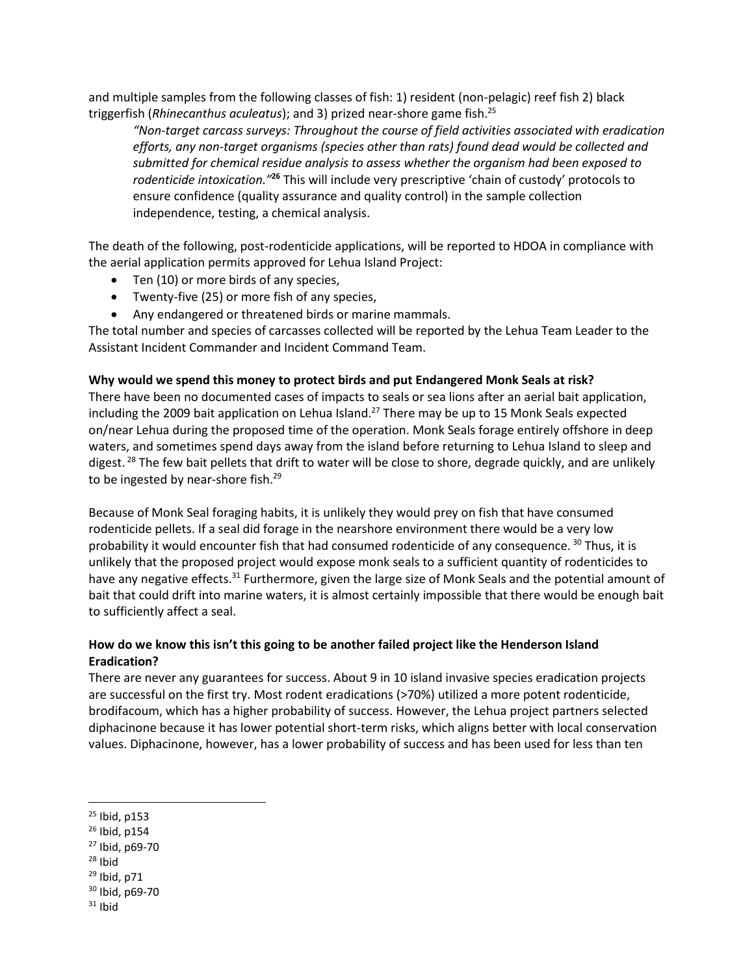and multiple samples from the following classes of fish: 1) resident (non-pelagic) reef fish 2) black triggerfish (*Rhinecanthus aculeatus*); and 3) prized near-shore game fish.<sup>25</sup>

*"Non-target carcass surveys: Throughout the course of field activities associated with eradication efforts, any non-target organisms (species other than rats) found dead would be collected and submitted for chemical residue analysis to assess whether the organism had been exposed to rodenticide intoxication."* **<sup>26</sup>** This will include very prescriptive 'chain of custody' protocols to ensure confidence (quality assurance and quality control) in the sample collection independence, testing, a chemical analysis.

The death of the following, post-rodenticide applications, will be reported to HDOA in compliance with the aerial application permits approved for Lehua Island Project:

- Ten (10) or more birds of any species,
- Twenty-five (25) or more fish of any species,
- Any endangered or threatened birds or marine mammals.

The total number and species of carcasses collected will be reported by the Lehua Team Leader to the Assistant Incident Commander and Incident Command Team.

### **Why would we spend this money to protect birds and put Endangered Monk Seals at risk?**

There have been no documented cases of impacts to seals or sea lions after an aerial bait application, including the 2009 bait application on Lehua Island.<sup>27</sup> There may be up to 15 Monk Seals expected on/near Lehua during the proposed time of the operation. Monk Seals forage entirely offshore in deep waters, and sometimes spend days away from the island before returning to Lehua Island to sleep and digest. <sup>28</sup> The few bait pellets that drift to water will be close to shore, degrade quickly, and are unlikely to be ingested by near-shore fish.<sup>29</sup>

Because of Monk Seal foraging habits, it is unlikely they would prey on fish that have consumed rodenticide pellets. If a seal did forage in the nearshore environment there would be a very low probability it would encounter fish that had consumed rodenticide of any consequence. <sup>30</sup> Thus, it is unlikely that the proposed project would expose monk seals to a sufficient quantity of rodenticides to have any negative effects.<sup>31</sup> Furthermore, given the large size of Monk Seals and the potential amount of bait that could drift into marine waters, it is almost certainly impossible that there would be enough bait to sufficiently affect a seal.

# **How do we know this isn't this going to be another failed project like the Henderson Island Eradication?**

There are never any guarantees for success. About 9 in 10 island invasive species eradication projects are successful on the first try. Most rodent eradications (>70%) utilized a more potent rodenticide, brodifacoum, which has a higher probability of success. However, the Lehua project partners selected diphacinone because it has lower potential short-term risks, which aligns better with local conservation values. Diphacinone, however, has a lower probability of success and has been used for less than ten

 $\overline{\phantom{a}}$ 

 $31$  Ibid

<sup>25</sup> Ibid, p153

<sup>26</sup> Ibid, p154

<sup>27</sup> Ibid, p69-70

 $28$  Ibid

 $29$  Ibid, p71

<sup>30</sup> Ibid, p69-70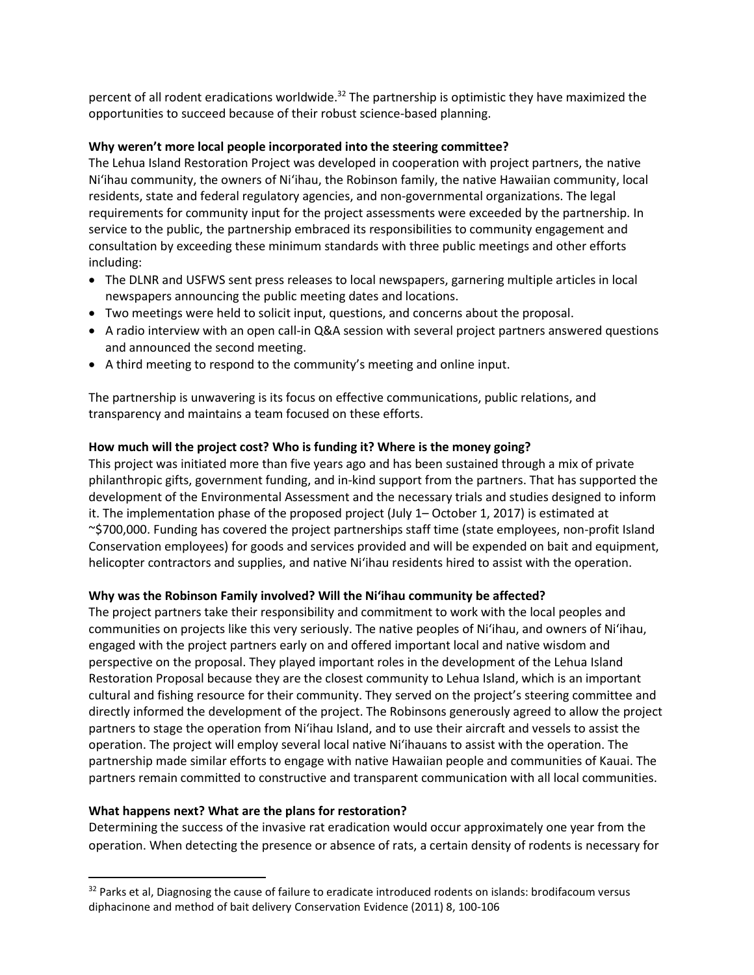percent of all rodent eradications worldwide.<sup>32</sup> The partnership is optimistic they have maximized the opportunities to succeed because of their robust science-based planning.

### **Why weren't more local people incorporated into the steering committee?**

The Lehua Island Restoration Project was developed in cooperation with project partners, the native Niʻihau community, the owners of Niʻihau, the Robinson family, the native Hawaiian community, local residents, state and federal regulatory agencies, and non-governmental organizations. The legal requirements for community input for the project assessments were exceeded by the partnership. In service to the public, the partnership embraced its responsibilities to community engagement and consultation by exceeding these minimum standards with three public meetings and other efforts including:

- The DLNR and USFWS sent press releases to local newspapers, garnering multiple articles in local newspapers announcing the public meeting dates and locations.
- Two meetings were held to solicit input, questions, and concerns about the proposal.
- A radio interview with an open call-in Q&A session with several project partners answered questions and announced the second meeting.
- A third meeting to respond to the community's meeting and online input.

The partnership is unwavering is its focus on effective communications, public relations, and transparency and maintains a team focused on these efforts.

# **How much will the project cost? Who is funding it? Where is the money going?**

This project was initiated more than five years ago and has been sustained through a mix of private philanthropic gifts, government funding, and in-kind support from the partners. That has supported the development of the Environmental Assessment and the necessary trials and studies designed to inform it. The implementation phase of the proposed project (July 1– October 1, 2017) is estimated at ~\$700,000. Funding has covered the project partnerships staff time (state employees, non-profit Island Conservation employees) for goods and services provided and will be expended on bait and equipment, helicopter contractors and supplies, and native Niʻihau residents hired to assist with the operation.

### **Why was the Robinson Family involved? Will the Niʻihau community be affected?**

The project partners take their responsibility and commitment to work with the local peoples and communities on projects like this very seriously. The native peoples of Niʻihau, and owners of Niʻihau, engaged with the project partners early on and offered important local and native wisdom and perspective on the proposal. They played important roles in the development of the Lehua Island Restoration Proposal because they are the closest community to Lehua Island, which is an important cultural and fishing resource for their community. They served on the project's steering committee and directly informed the development of the project. The Robinsons generously agreed to allow the project partners to stage the operation from Niʻihau Island, and to use their aircraft and vessels to assist the operation. The project will employ several local native Niʻihauans to assist with the operation. The partnership made similar efforts to engage with native Hawaiian people and communities of Kauai. The partners remain committed to constructive and transparent communication with all local communities.

### **What happens next? What are the plans for restoration?**

 $\overline{\phantom{a}}$ 

Determining the success of the invasive rat eradication would occur approximately one year from the operation. When detecting the presence or absence of rats, a certain density of rodents is necessary for

<sup>&</sup>lt;sup>32</sup> Parks et al, Diagnosing the cause of failure to eradicate introduced rodents on islands: brodifacoum versus diphacinone and method of bait delivery Conservation Evidence (2011) 8, 100-106